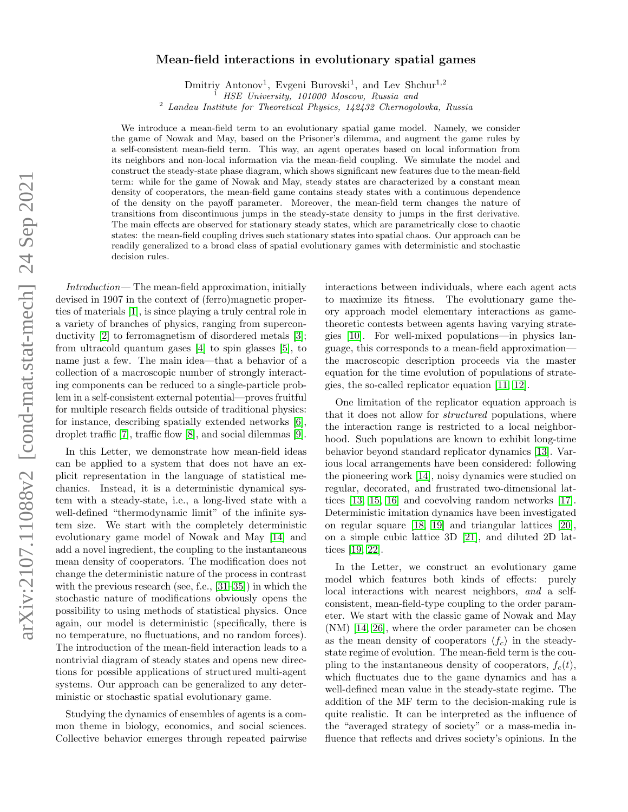## $arXiv:2107.11088v2$  [cond-mat.stat-mech] 24 Sep 2021 arXiv:2107.11088v2 [cond-mat.stat-mech] 24 Sep 2021

## Mean-field interactions in evolutionary spatial games

Dmitriy Antonov<sup>1</sup>, Evgeni Burovski<sup>1</sup>, and Lev Shchur<sup>1,2</sup> <sup>1</sup> HSE University, 101000 Moscow, Russia and

<sup>2</sup> Landau Institute for Theoretical Physics, 142432 Chernogolovka, Russia

We introduce a mean-field term to an evolutionary spatial game model. Namely, we consider the game of Nowak and May, based on the Prisoner's dilemma, and augment the game rules by a self-consistent mean-field term. This way, an agent operates based on local information from its neighbors and non-local information via the mean-field coupling. We simulate the model and construct the steady-state phase diagram, which shows significant new features due to the mean-field term: while for the game of Nowak and May, steady states are characterized by a constant mean density of cooperators, the mean-field game contains steady states with a continuous dependence of the density on the payoff parameter. Moreover, the mean-field term changes the nature of transitions from discontinuous jumps in the steady-state density to jumps in the first derivative. The main effects are observed for stationary steady states, which are parametrically close to chaotic states: the mean-field coupling drives such stationary states into spatial chaos. Our approach can be readily generalized to a broad class of spatial evolutionary games with deterministic and stochastic decision rules.

Introduction— The mean-field approximation, initially devised in 1907 in the context of (ferro)magnetic properties of materials [\[1\]](#page-5-0), is since playing a truly central role in a variety of branches of physics, ranging from superconductivity [\[2\]](#page-5-1) to ferromagnetism of disordered metals [\[3\]](#page-5-2); from ultracold quantum gases [\[4\]](#page-5-3) to spin glasses [\[5\]](#page-5-4), to name just a few. The main idea—that a behavior of a collection of a macroscopic number of strongly interacting components can be reduced to a single-particle problem in a self-consistent external potential—proves fruitful for multiple research fields outside of traditional physics: for instance, describing spatially extended networks [\[6\]](#page-5-5), droplet traffic [\[7\]](#page-5-6), traffic flow [\[8\]](#page-5-7), and social dilemmas [\[9\]](#page-5-8).

In this Letter, we demonstrate how mean-field ideas can be applied to a system that does not have an explicit representation in the language of statistical mechanics. Instead, it is a deterministic dynamical system with a steady-state, i.e., a long-lived state with a well-defined "thermodynamic limit" of the infinite system size. We start with the completely deterministic evolutionary game model of Nowak and May [\[14\]](#page-5-9) and add a novel ingredient, the coupling to the instantaneous mean density of cooperators. The modification does not change the deterministic nature of the process in contrast with the previous research (see, f.e., [\[31](#page-5-10)[–35\]](#page-5-11)) in which the stochastic nature of modifications obviously opens the possibility to using methods of statistical physics. Once again, our model is deterministic (specifically, there is no temperature, no fluctuations, and no random forces). The introduction of the mean-field interaction leads to a nontrivial diagram of steady states and opens new directions for possible applications of structured multi-agent systems. Our approach can be generalized to any deterministic or stochastic spatial evolutionary game.

Studying the dynamics of ensembles of agents is a common theme in biology, economics, and social sciences. Collective behavior emerges through repeated pairwise interactions between individuals, where each agent acts to maximize its fitness. The evolutionary game theory approach model elementary interactions as gametheoretic contests between agents having varying strategies [\[10\]](#page-5-12). For well-mixed populations—in physics language, this corresponds to a mean-field approximation the macroscopic description proceeds via the master equation for the time evolution of populations of strategies, the so-called replicator equation [\[11,](#page-5-13) [12\]](#page-5-14).

One limitation of the replicator equation approach is that it does not allow for structured populations, where the interaction range is restricted to a local neighborhood. Such populations are known to exhibit long-time behavior beyond standard replicator dynamics [\[13\]](#page-5-15). Various local arrangements have been considered: following the pioneering work [\[14\]](#page-5-9), noisy dynamics were studied on regular, decorated, and frustrated two-dimensional lattices [\[13,](#page-5-15) [15,](#page-5-16) [16\]](#page-5-17) and coevolving random networks [\[17\]](#page-5-18). Deterministic imitation dynamics have been investigated on regular square [\[18,](#page-5-19) [19\]](#page-5-20) and triangular lattices [\[20\]](#page-5-21), on a simple cubic lattice 3D [\[21\]](#page-5-22), and diluted 2D lattices [\[19,](#page-5-20) [22\]](#page-5-23).

In the Letter, we construct an evolutionary game model which features both kinds of effects: purely local interactions with nearest neighbors, and a selfconsistent, mean-field-type coupling to the order parameter. We start with the classic game of Nowak and May (NM) [\[14,](#page-5-9) [26\]](#page-5-24), where the order parameter can be chosen as the mean density of cooperators  $\langle f_c \rangle$  in the steadystate regime of evolution. The mean-field term is the coupling to the instantaneous density of cooperators,  $f_c(t)$ , which fluctuates due to the game dynamics and has a well-defined mean value in the steady-state regime. The addition of the MF term to the decision-making rule is quite realistic. It can be interpreted as the influence of the "averaged strategy of society" or a mass-media influence that reflects and drives society's opinions. In the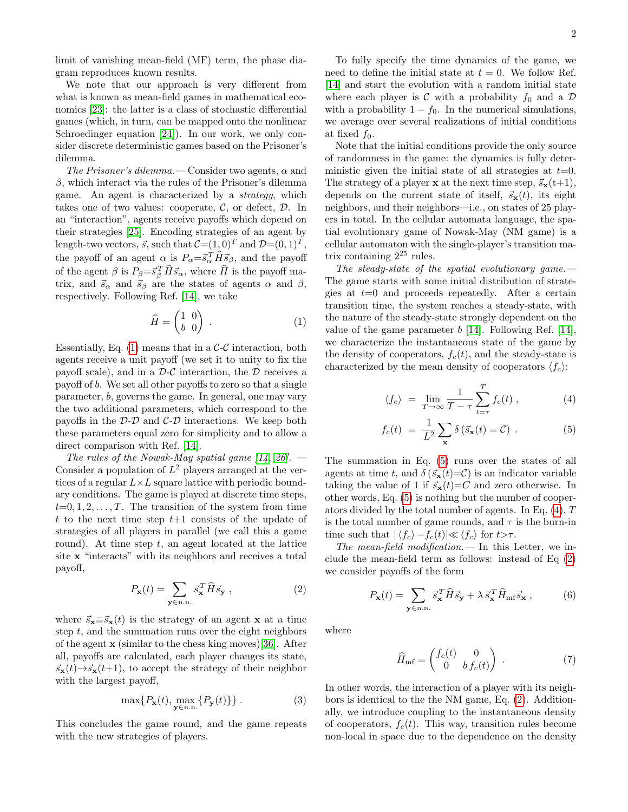limit of vanishing mean-field (MF) term, the phase diagram reproduces known results.

We note that our approach is very different from what is known as mean-field games in mathematical economics [\[23\]](#page-5-25): the latter is a class of stochastic differential games (which, in turn, can be mapped onto the nonlinear Schroedinger equation [\[24\]](#page-5-26)). In our work, we only consider discrete deterministic games based on the Prisoner's dilemma.

The Prisoner's dilemma. — Consider two agents,  $\alpha$  and  $β$ , which interact via the rules of the Prisoner's dilemma game. An agent is characterized by a strategy, which takes one of two values: cooperate,  $C$ , or defect,  $D$ . In an "interaction", agents receive payoffs which depend on their strategies [\[25\]](#page-5-27). Encoding strategies of an agent by length-two vectors,  $\vec{s}$ , such that  $C=(1,0)^T$  and  $\mathcal{D}=(0,1)^T$ , the payoff of an agent  $\alpha$  is  $P_{\alpha} = \vec{s}_{\alpha}^T \hat{H} \vec{s}_{\beta}$ , and the payoff of the agent  $\beta$  is  $P_{\beta} = \vec{s}_{\beta}^T \hat{H} \vec{s}_{\alpha}$ , where  $\hat{H}$  is the payoff matrix, and  $\vec{s}_{\alpha}$  and  $\vec{s}_{\beta}$  are the states of agents  $\alpha$  and  $\beta$ , respectively. Following Ref. [\[14\]](#page-5-9), we take

<span id="page-1-0"></span>
$$
\widehat{H} = \begin{pmatrix} 1 & 0 \\ b & 0 \end{pmatrix} . \tag{1}
$$

Essentially, Eq.  $(1)$  means that in a C-C interaction, both agents receive a unit payoff (we set it to unity to fix the payoff scale), and in a  $\mathcal{D}\text{-}\mathcal{C}$  interaction, the  $\mathcal D$  receives a payoff of b. We set all other payoffs to zero so that a single parameter, b, governs the game. In general, one may vary the two additional parameters, which correspond to the payoffs in the  $\mathcal{D}\text{-}\mathcal{D}$  and  $\mathcal{C}\text{-}\mathcal{D}$  interactions. We keep both these parameters equal zero for simplicity and to allow a direct comparison with Ref. [\[14\]](#page-5-9).

The rules of the Nowak-May spatial game  $[14, 26]$  $[14, 26]$ . — Consider a population of  $L^2$  players arranged at the vertices of a regular  $L\times L$  square lattice with periodic boundary conditions. The game is played at discrete time steps,  $t=0, 1, 2, \ldots, T$ . The transition of the system from time t to the next time step  $t+1$  consists of the update of strategies of all players in parallel (we call this a game round). At time step  $t$ , an agent located at the lattice site x "interacts" with its neighbors and receives a total payoff,

<span id="page-1-2"></span>
$$
P_{\mathbf{x}}(t) = \sum_{\mathbf{y} \in \text{n.n.}} \vec{s}_{\mathbf{x}}^T \widehat{H} \vec{s}_{\mathbf{y}} , \qquad (2)
$$

where  $\vec{s}_x \equiv \vec{s}_x(t)$  is the strategy of an agent x at a time step  $t$ , and the summation runs over the eight neighbors of the agent x (similar to the chess king moves)[\[36\]](#page-5-28). After all, payoffs are calculated, each player changes its state,  $\vec{s}_{\mathbf{x}}(t) \rightarrow \vec{s}_{\mathbf{x}}(t+1)$ , to accept the strategy of their neighbor with the largest payoff,

<span id="page-1-5"></span>
$$
\max\{P_{\mathbf{x}}(t), \max_{\mathbf{y}\in\text{n.n.}}\{P_{\mathbf{y}}(t)\}\}.
$$
 (3)

This concludes the game round, and the game repeats with the new strategies of players.

To fully specify the time dynamics of the game, we need to define the initial state at  $t = 0$ . We follow Ref. [\[14\]](#page-5-9) and start the evolution with a random initial state where each player is  $\mathcal C$  with a probability  $f_0$  and a  $\mathcal D$ with a probability  $1 - f_0$ . In the numerical simulations, we average over several realizations of initial conditions at fixed  $f_0$ .

Note that the initial conditions provide the only source of randomness in the game: the dynamics is fully deterministic given the initial state of all strategies at  $t=0$ . The strategy of a player **x** at the next time step,  $\vec{s}_{\mathbf{x}}(t+1)$ , depends on the current state of itself,  $\vec{s}_{\mathbf{x}}(t)$ , its eight neighbors, and their neighbors—i.e., on states of 25 players in total. In the cellular automata language, the spatial evolutionary game of Nowak-May (NM game) is a cellular automaton with the single-player's transition matrix containing  $2^{25}$  rules.

The steady-state of the spatial evolutionary game. $-$ The game starts with some initial distribution of strategies at  $t=0$  and proceeds repeatedly. After a certain transition time, the system reaches a steady-state, with the nature of the steady-state strongly dependent on the value of the game parameter  $b$  [\[14\]](#page-5-9). Following Ref. [14], we characterize the instantaneous state of the game by the density of cooperators,  $f_c(t)$ , and the steady-state is characterized by the mean density of cooperators  $\langle f_c \rangle$ :

<span id="page-1-1"></span>
$$
\langle f_c \rangle = \lim_{T \to \infty} \frac{1}{T - \tau} \sum_{t = \tau}^T f_c(t) , \qquad (4)
$$

$$
f_c(t) = \frac{1}{L^2} \sum_{\mathbf{x}} \delta(\vec{s}_{\mathbf{x}}(t) = C) .
$$
 (5)

The summation in Eq. [\(5\)](#page-1-1) runs over the states of all agents at time t, and  $\delta(\vec{s}_{\mathbf{x}}(t)=\mathcal{C})$  is an indicator variable taking the value of 1 if  $\vec{s}_x(t)=C$  and zero otherwise. In other words, Eq. [\(5\)](#page-1-1) is nothing but the number of cooperators divided by the total number of agents. In Eq. [\(4\)](#page-1-1), T is the total number of game rounds, and  $\tau$  is the burn-in time such that  $|\langle f_c \rangle - f_c(t)| \ll \langle f_c \rangle$  for  $t > \tau$ .

The mean-field modification.  $\qquad$  In this Letter, we include the mean-field term as follows: instead of Eq [\(2\)](#page-1-2) we consider payoffs of the form

$$
P_{\mathbf{x}}(t) = \sum_{\mathbf{y} \in \text{n.n.}} \vec{s}_{\mathbf{x}}^T \widehat{H} \vec{s}_{\mathbf{y}} + \lambda \,\vec{s}_{\mathbf{x}}^T \widehat{H}_{\text{mf}} \vec{s}_{\mathbf{x}} \,, \tag{6}
$$

where

<span id="page-1-4"></span><span id="page-1-3"></span>
$$
\widehat{H}_{\rm mf} = \begin{pmatrix} f_c(t) & 0 \\ 0 & b f_c(t) \end{pmatrix} . \tag{7}
$$

In other words, the interaction of a player with its neighbors is identical to the the NM game, Eq. [\(2\)](#page-1-2). Additionally, we introduce coupling to the instantaneous density of cooperators,  $f_c(t)$ . This way, transition rules become non-local in space due to the dependence on the density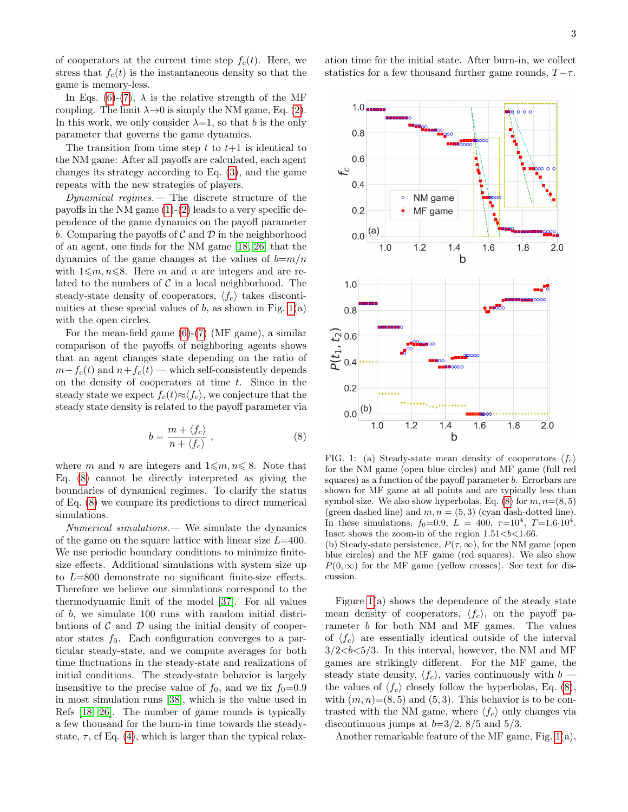of cooperators at the current time step  $f_c(t)$ . Here, we stress that  $f_c(t)$  is the instantaneous density so that the game is memory-less.

In Eqs. [\(6\)](#page-1-3)-[\(7\)](#page-1-4),  $\lambda$  is the relative strength of the MF coupling. The limit  $\lambda \rightarrow 0$  is simply the NM game, Eq. [\(2\)](#page-1-2). In this work, we only consider  $\lambda=1$ , so that b is the only parameter that governs the game dynamics.

The transition from time step t to  $t+1$  is identical to the NM game: After all payoffs are calculated, each agent changes its strategy according to Eq. [\(3\)](#page-1-5), and the game repeats with the new strategies of players.

Dynamical regimes.— The discrete structure of the payoffs in the NM game  $(1)-(2)$  $(1)-(2)$  $(1)-(2)$  leads to a very specific dependence of the game dynamics on the payoff parameter b. Comparing the payoffs of  $\mathcal C$  and  $\mathcal D$  in the neighborhood of an agent, one finds for the NM game [\[18,](#page-5-19) [26\]](#page-5-24) that the dynamics of the game changes at the values of  $b=m/n$ with  $1\leqslant m, n\leqslant 8$ . Here m and n are integers and are related to the numbers of  $\mathcal C$  in a local neighborhood. The steady-state density of cooperators,  $\langle f_c \rangle$  takes discontinuities at these special values of  $b$ , as shown in Fig. [1\(](#page-2-0)a) with the open circles.

For the mean-field game [\(6\)](#page-1-3)-[\(7\)](#page-1-4) (MF game), a similar comparison of the payoffs of neighboring agents shows that an agent changes state depending on the ratio of  $m+f_c(t)$  and  $n+f_c(t)$  — which self-consistently depends on the density of cooperators at time  $t$ . Since in the steady state we expect  $f_c(t) \approx \langle f_c \rangle$ , we conjecture that the steady state density is related to the payoff parameter via

<span id="page-2-1"></span>
$$
b = \frac{m + \langle f_c \rangle}{n + \langle f_c \rangle} \,,\tag{8}
$$

where m and n are integers and  $1 \leq m, n \leq 8$ . Note that Eq. [\(8\)](#page-2-1) cannot be directly interpreted as giving the boundaries of dynamical regimes. To clarify the status of Eq. [\(8\)](#page-2-1) we compare its predictions to direct numerical simulations.

Numerical simulations.— We simulate the dynamics of the game on the square lattice with linear size  $L=400$ . We use periodic boundary conditions to minimize finitesize effects. Additional simulations with system size up to L=800 demonstrate no significant finite-size effects. Therefore we believe our simulations correspond to the thermodynamic limit of the model [\[37\]](#page-5-29). For all values of b, we simulate 100 runs with random initial distributions of  $\mathcal C$  and  $\mathcal D$  using the initial density of cooperator states  $f_0$ . Each configuration converges to a particular steady-state, and we compute averages for both time fluctuations in the steady-state and realizations of initial conditions. The steady-state behavior is largely insensitive to the precise value of  $f_0$ , and we fix  $f_0=0.9$ in most simulation runs [\[38\]](#page-5-30), which is the value used in Refs [\[18,](#page-5-19) [26\]](#page-5-24). The number of game rounds is typically a few thousand for the burn-in time towards the steadystate,  $\tau$ , cf Eq. [\(4\)](#page-1-1), which is larger than the typical relaxation time for the initial state. After burn-in, we collect statistics for a few thousand further game rounds,  $T-\tau$ .



<span id="page-2-0"></span>FIG. 1: (a) Steady-state mean density of cooperators  $\langle f_c \rangle$ for the NM game (open blue circles) and MF game (full red squares) as a function of the payoff parameter b. Errorbars are shown for MF game at all points and are typically less than symbol size. We also show hyperbolas, Eq.  $(8)$  for  $m, n=(8, 5)$ (green dashed line) and  $m, n = (5, 3)$  (cyan dash-dotted line). In these simulations,  $f_0=0.9, L = 400, \tau=10^4, T=1.6 \cdot 10^4$ . Inset shows the zoom-in of the region  $1.51 < b < 1.66$ . (b) Steady-state persistence,  $P(\tau, \infty)$ , for the NM game (open

blue circles) and the MF game (red squares). We also show  $P(0,\infty)$  for the MF game (yellow crosses). See text for discussion.

Figure [1\(](#page-2-0)a) shows the dependence of the steady state mean density of cooperators,  $\langle f_c \rangle$ , on the payoff parameter b for both NM and MF games. The values of  $\langle f_c \rangle$  are essentially identical outside of the interval  $3/2 < b < 5/3$ . In this interval, however, the NM and MF games are strikingly different. For the MF game, the steady state density,  $\langle f_c \rangle$ , varies continuously with b the values of  $\langle f_c \rangle$  closely follow the hyperbolas, Eq. [\(8\)](#page-2-1), with  $(m, n) = (8, 5)$  and  $(5, 3)$ . This behavior is to be contrasted with the NM game, where  $\langle f_c \rangle$  only changes via discontinuous jumps at  $b=3/2$ ,  $8/5$  and  $5/3$ .

Another remarkable feature of the MF game, Fig. [1\(](#page-2-0)a),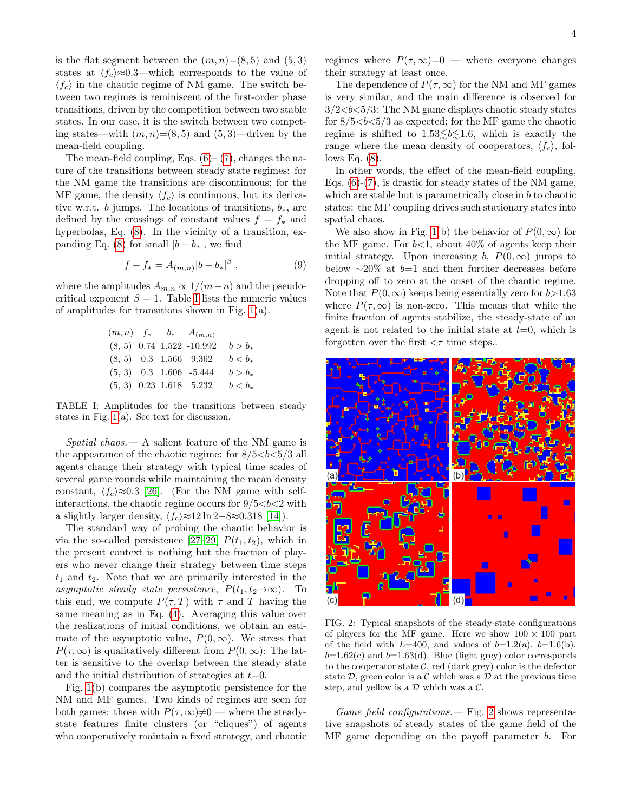is the flat segment between the  $(m, n) = (8, 5)$  and  $(5, 3)$ states at  $\langle f_c \rangle \approx 0.3$ —which corresponds to the value of  $\langle f_c \rangle$  in the chaotic regime of NM game. The switch between two regimes is reminiscent of the first-order phase transitions, driven by the competition between two stable states. In our case, it is the switch between two competing states—with  $(m, n) = (8, 5)$  and  $(5, 3)$ —driven by the mean-field coupling.

The mean-field coupling, Eqs.  $(6)$ – $(7)$ , changes the nature of the transitions between steady state regimes: for the NM game the transitions are discontinuous; for the MF game, the density  $\langle f_c \rangle$  is continuous, but its derivative w.r.t. b jumps. The locations of transitions,  $b_*$ , are defined by the crossings of constant values  $f = f_*$  and hyperbolas, Eq. [\(8\)](#page-2-1). In the vicinity of a transition, ex-panding Eq. [\(8\)](#page-2-1) for small  $|b - b_*|$ , we find

$$
f - f_* = A_{(m,n)} |b - b_*|^\beta , \qquad (9)
$$

where the amplitudes  $A_{m,n} \propto 1/(m-n)$  and the pseudocritical exponent  $\beta = 1$ . Table [I](#page-3-0) lists the numeric values of amplitudes for transitions shown in Fig. [1\(](#page-2-0)a).

|  | $(m, n)$ $f_*$ $b_*$ $A_{(m,n)}$ |           |
|--|----------------------------------|-----------|
|  | $(8, 5)$ 0.74 1.522 -10.992      | $b > b_*$ |
|  | $(8, 5)$ 0.3 1.566 9.362         | $b < b_*$ |
|  | $(5, 3)$ 0.3 1.606 -5.444        | $b > b_*$ |
|  | $(5, 3)$ 0.23 1.618 5.232        | $b < b_*$ |

<span id="page-3-0"></span>TABLE I: Amplitudes for the transitions between steady states in Fig. [1\(](#page-2-0)a). See text for discussion.

 $Spatial\ chaos. - A\ salient\ feature\ of\ the\ NM\ game\ is$ the appearance of the chaotic regime: for  $8/5 < b < 5/3$  all agents change their strategy with typical time scales of several game rounds while maintaining the mean density constant,  $\langle f_c \rangle \approx 0.3$  [\[26\]](#page-5-24). (For the NM game with selfinteractions, the chaotic regime occurs for  $9/5 < b < 2$  with a slightly larger density,  $\langle f_c \rangle \approx 12 \ln 2 - 8 \approx 0.318$  [\[14\]](#page-5-9)).

The standard way of probing the chaotic behavior is via the so-called persistence [\[27–](#page-5-31)[29\]](#page-5-32)  $P(t_1, t_2)$ , which in the present context is nothing but the fraction of players who never change their strategy between time steps  $t_1$  and  $t_2$ . Note that we are primarily interested in the asymptotic steady state persistence,  $P(t_1, t_2 \rightarrow \infty)$ . To this end, we compute  $P(\tau, T)$  with  $\tau$  and T having the same meaning as in Eq. [\(4\)](#page-1-1). Averaging this value over the realizations of initial conditions, we obtain an estimate of the asymptotic value,  $P(0,\infty)$ . We stress that  $P(\tau,\infty)$  is qualitatively different from  $P(0,\infty)$ : The latter is sensitive to the overlap between the steady state and the initial distribution of strategies at  $t=0$ .

Fig. [1\(](#page-2-0)b) compares the asymptotic persistence for the NM and MF games. Two kinds of regimes are seen for both games: those with  $P(\tau, \infty) \neq 0$  — where the steadystate features finite clusters (or "cliques") of agents who cooperatively maintain a fixed strategy, and chaotic regimes where  $P(\tau,\infty)=0$  — where everyone changes their strategy at least once.

The dependence of  $P(\tau, \infty)$  for the NM and MF games is very similar, and the main difference is observed for  $3/2 < b < 5/3$ : The NM game displays chaotic steady states for  $8/5 < b < 5/3$  as expected; for the MF game the chaotic regime is shifted to  $1.53 \le b \le 1.6$ , which is exactly the range where the mean density of cooperators,  $\langle f_c \rangle$ , follows Eq.  $(8)$ .

In other words, the effect of the mean-field coupling, Eqs.  $(6)-(7)$  $(6)-(7)$  $(6)-(7)$ , is drastic for steady states of the NM game, which are stable but is parametrically close in b to chaotic states: the MF coupling drives such stationary states into spatial chaos.

We also show in Fig. [1\(](#page-2-0)b) the behavior of  $P(0,\infty)$  for the MF game. For  $b<1$ , about  $40\%$  of agents keep their initial strategy. Upon increasing b,  $P(0,\infty)$  jumps to below  $\sim$ 20% at b=1 and then further decreases before dropping off to zero at the onset of the chaotic regime. Note that  $P(0, \infty)$  keeps being essentially zero for  $b > 1.63$ where  $P(\tau,\infty)$  is non-zero. This means that while the finite fraction of agents stabilize, the steady-state of an agent is not related to the initial state at  $t=0$ , which is forgotten over the first  $\langle \tau \rangle$  time steps..



<span id="page-3-1"></span>FIG. 2: Typical snapshots of the steady-state configurations of players for the MF game. Here we show  $100 \times 100$  part of the field with  $L=400$ , and values of  $b=1.2(a)$ ,  $b=1.6(b)$ ,  $b=1.62(c)$  and  $b=1.63(d)$ . Blue (light grey) color corresponds to the cooperator state  $C$ , red (dark grey) color is the defector state  $\mathcal{D}$ , green color is a  $\mathcal C$  which was a  $\mathcal D$  at the previous time step, and yellow is a  $D$  which was a  $C$ .

*Game field configurations.*  $\rightarrow$  Fig. [2](#page-3-1) shows representative snapshots of steady states of the game field of the MF game depending on the payoff parameter b. For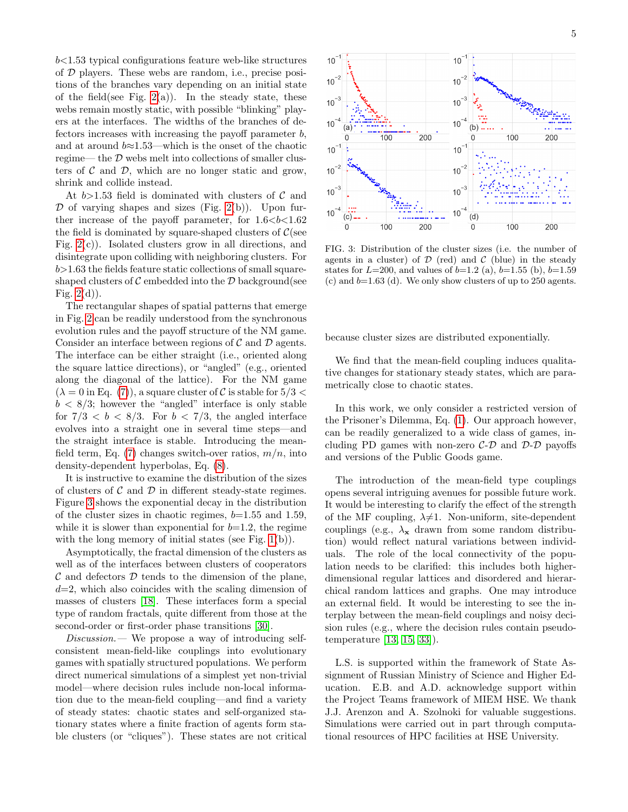$b$ <1.53 typical configurations feature web-like structures of D players. These webs are random, i.e., precise positions of the branches vary depending on an initial state of the field(see Fig. [2\(](#page-3-1)a)). In the steady state, these webs remain mostly static, with possible "blinking" players at the interfaces. The widths of the branches of defectors increases with increasing the payoff parameter  $b$ , and at around  $b \approx 1.53$ —which is the onset of the chaotic regime— the D webs melt into collections of smaller clusters of  $\mathcal C$  and  $\mathcal D$ , which are no longer static and grow, shrink and collide instead.

At  $b{>}1.53$  field is dominated with clusters of  $\mathcal C$  and  $\mathcal D$  of varying shapes and sizes (Fig. [2\(](#page-3-1)b)). Upon further increase of the payoff parameter, for  $1.6 < b < 1.62$ the field is dominated by square-shaped clusters of  $\mathcal{C}$ (see Fig.  $2(c)$ ). Isolated clusters grow in all directions, and disintegrate upon colliding with neighboring clusters. For  $b > 1.63$  the fields feature static collections of small squareshaped clusters of  $\mathcal C$  embedded into the  $\mathcal D$  background(see Fig.  $2(d)$ ).

The rectangular shapes of spatial patterns that emerge in Fig. [2](#page-3-1) can be readily understood from the synchronous evolution rules and the payoff structure of the NM game. Consider an interface between regions of  $\mathcal C$  and  $\mathcal D$  agents. The interface can be either straight (i.e., oriented along the square lattice directions), or "angled" (e.g., oriented along the diagonal of the lattice). For the NM game  $(\lambda = 0$  in Eq. [\(7\)](#page-1-4)), a square cluster of C is stable for  $5/3 <$  $b < 8/3$ ; however the "angled" interface is only stable for  $7/3 < b < 8/3$ . For  $b < 7/3$ , the angled interface evolves into a straight one in several time steps—and the straight interface is stable. Introducing the mean-field term, Eq. [\(7\)](#page-1-4) changes switch-over ratios,  $m/n$ , into density-dependent hyperbolas, Eq. [\(8\)](#page-2-1).

It is instructive to examine the distribution of the sizes of clusters of  $\mathcal C$  and  $\mathcal D$  in different steady-state regimes. Figure [3](#page-4-0) shows the exponential decay in the distribution of the cluster sizes in chaotic regimes,  $b=1.55$  and 1.59, while it is slower than exponential for  $b=1.2$ , the regime with the long memory of initial states (see Fig. [1\(](#page-2-0)b)).

Asymptotically, the fractal dimension of the clusters as well as of the interfaces between clusters of cooperators  $\mathcal C$  and defectors  $\mathcal D$  tends to the dimension of the plane,  $d=2$ , which also coincides with the scaling dimension of masses of clusters [\[18\]](#page-5-19). These interfaces form a special type of random fractals, quite different from those at the second-order or first-order phase transitions [\[30\]](#page-5-33).

Discussion.— We propose a way of introducing selfconsistent mean-field-like couplings into evolutionary games with spatially structured populations. We perform direct numerical simulations of a simplest yet non-trivial model—where decision rules include non-local information due to the mean-field coupling—and find a variety of steady states: chaotic states and self-organized stationary states where a finite fraction of agents form stable clusters (or "cliques"). These states are not critical



<span id="page-4-0"></span>FIG. 3: Distribution of the cluster sizes (i.e. the number of agents in a cluster) of  $\mathcal D$  (red) and  $\mathcal C$  (blue) in the steady states for  $L=200$ , and values of  $b=1.2$  (a),  $b=1.55$  (b),  $b=1.59$ (c) and  $b=1.63$  (d). We only show clusters of up to 250 agents.

because cluster sizes are distributed exponentially.

We find that the mean-field coupling induces qualitative changes for stationary steady states, which are parametrically close to chaotic states.

In this work, we only consider a restricted version of the Prisoner's Dilemma, Eq. [\(1\)](#page-1-0). Our approach however, can be readily generalized to a wide class of games, including PD games with non-zero  $\mathcal{C}\text{-}\mathcal{D}$  and  $\mathcal{D}\text{-}\mathcal{D}$  payoffs and versions of the Public Goods game.

The introduction of the mean-field type couplings opens several intriguing avenues for possible future work. It would be interesting to clarify the effect of the strength of the MF coupling,  $\lambda \neq 1$ . Non-uniform, site-dependent couplings (e.g.,  $\lambda_{\mathbf{x}}$  drawn from some random distribution) would reflect natural variations between individuals. The role of the local connectivity of the population needs to be clarified: this includes both higherdimensional regular lattices and disordered and hierarchical random lattices and graphs. One may introduce an external field. It would be interesting to see the interplay between the mean-field couplings and noisy decision rules (e.g., where the decision rules contain pseudotemperature [\[13,](#page-5-15) [15,](#page-5-16) [33\]](#page-5-34)).

L.S. is supported within the framework of State Assignment of Russian Ministry of Science and Higher Education. E.B. and A.D. acknowledge support within the Project Teams framework of MIEM HSE. We thank J.J. Arenzon and A. Szolnoki for valuable suggestions. Simulations were carried out in part through computational resources of HPC facilities at HSE University.